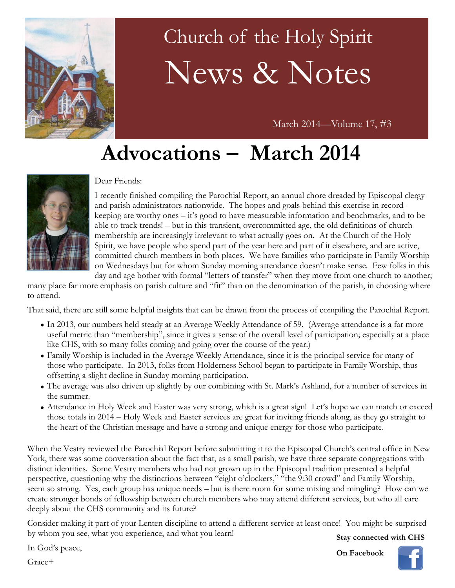

# Church of the Holy Spirit News & Notes

March 2014—Volume 17, #3

## **Advocations – March 2014**



#### Dear Friends:

I recently finished compiling the Parochial Report, an annual chore dreaded by Episcopal clergy and parish administrators nationwide. The hopes and goals behind this exercise in recordkeeping are worthy ones – it's good to have measurable information and benchmarks, and to be able to track trends! – but in this transient, overcommitted age, the old definitions of church membership are increasingly irrelevant to what actually goes on. At the Church of the Holy Spirit, we have people who spend part of the year here and part of it elsewhere, and are active, committed church members in both places. We have families who participate in Family Worship on Wednesdays but for whom Sunday morning attendance doesn't make sense. Few folks in this day and age bother with formal "letters of transfer" when they move from one church to another;

many place far more emphasis on parish culture and "fit" than on the denomination of the parish, in choosing where to attend.

That said, there are still some helpful insights that can be drawn from the process of compiling the Parochial Report.

- In 2013, our numbers held steady at an Average Weekly Attendance of 59. (Average attendance is a far more useful metric than "membership", since it gives a sense of the overall level of participation; especially at a place like CHS, with so many folks coming and going over the course of the year.)
- Family Worship is included in the Average Weekly Attendance, since it is the principal service for many of those who participate. In 2013, folks from Holderness School began to participate in Family Worship, thus offsetting a slight decline in Sunday morning participation.
- The average was also driven up slightly by our combining with St. Mark's Ashland, for a number of services in the summer.
- Attendance in Holy Week and Easter was very strong, which is a great sign! Let's hope we can match or exceed those totals in 2014 – Holy Week and Easter services are great for inviting friends along, as they go straight to the heart of the Christian message and have a strong and unique energy for those who participate.

When the Vestry reviewed the Parochial Report before submitting it to the Episcopal Church's central office in New York, there was some conversation about the fact that, as a small parish, we have three separate congregations with distinct identities. Some Vestry members who had not grown up in the Episcopal tradition presented a helpful perspective, questioning why the distinctions between "eight o'clockers," "the 9:30 crowd" and Family Worship, seem so strong. Yes, each group has unique needs – but is there room for some mixing and mingling? How can we create stronger bonds of fellowship between church members who may attend different services, but who all care deeply about the CHS community and its future?

Consider making it part of your Lenten discipline to attend a different service at least once! You might be surprised by whom you see, what you experience, and what you learn!

**Stay connected with CHS**

In God's peace,

Grace+

**On Facebook**

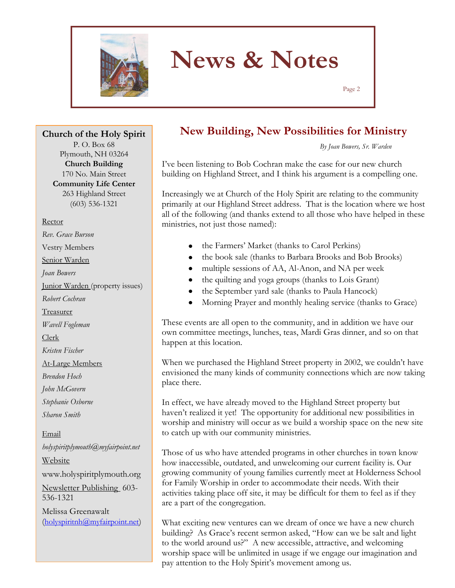

Page 2

**Church of the Holy Spirit** P. O. Box 68 Plymouth, NH 03264 **Church Building** 170 No. Main Street **Community Life Center** 263 Highland Street

(603) 536-1321

Rector

*Rev. Grace Burson*

Vestry Members

Senior Warden

*Joan Bowers*

Junior Warden (property issues)

*Robert Cochran*

Treasurer

*Wavell Fogleman*

Clerk

*Kristen Fischer*

At-Large Members

*Brendon Hoch*

*John McGovern*

*Stephanie Osborne*

*Sharon Smith*

Email *holyspiritplymouth@myfairpoint.net* Website www.holyspiritplymouth.org Newsletter Publishing 603- 536-1321 Melissa Greenawalt (holyspiritnh@myfairpoint.net)

### **New Building, New Possibilities for Ministry**

*By Joan Bowers, Sr. Warden*

I've been listening to Bob Cochran make the case for our new church building on Highland Street, and I think his argument is a compelling one.

Increasingly we at Church of the Holy Spirit are relating to the community primarily at our Highland Street address. That is the location where we host all of the following (and thanks extend to all those who have helped in these ministries, not just those named):

- the Farmers' Market (thanks to Carol Perkins)
- the book sale (thanks to Barbara Brooks and Bob Brooks)
- multiple sessions of AA, Al-Anon, and NA per week
- the quilting and yoga groups (thanks to Lois Grant)
- the September yard sale (thanks to Paula Hancock)
- $\bullet$ Morning Prayer and monthly healing service (thanks to Grace)

These events are all open to the community, and in addition we have our own committee meetings, lunches, teas, Mardi Gras dinner, and so on that happen at this location.

When we purchased the Highland Street property in 2002, we couldn't have envisioned the many kinds of community connections which are now taking place there.

In effect, we have already moved to the Highland Street property but haven't realized it yet! The opportunity for additional new possibilities in worship and ministry will occur as we build a worship space on the new site to catch up with our community ministries.

Those of us who have attended programs in other churches in town know how inaccessible, outdated, and unwelcoming our current facility is. Our growing community of young families currently meet at Holderness School for Family Worship in order to accommodate their needs. With their activities taking place off site, it may be difficult for them to feel as if they are a part of the congregation.

What exciting new ventures can we dream of once we have a new church building? As Grace's recent sermon asked, "How can we be salt and light to the world around us?" A new accessible, attractive, and welcoming worship space will be unlimited in usage if we engage our imagination and pay attention to the Holy Spirit's movement among us.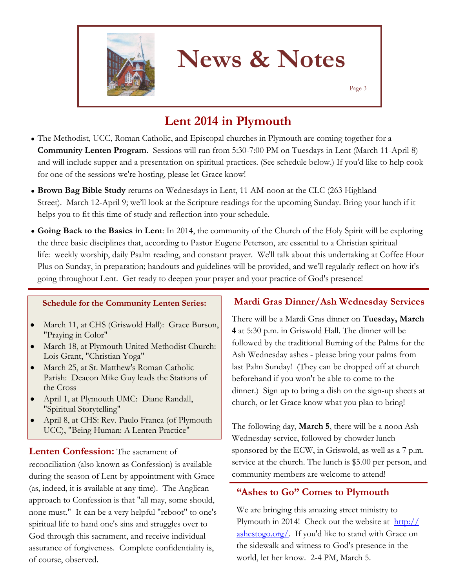

Page 3

### **Lent 2014 in Plymouth**

- The Methodist, UCC, Roman Catholic, and Episcopal churches in Plymouth are coming together for a **Community Lenten Program**. Sessions will run from 5:30-7:00 PM on Tuesdays in Lent (March 11-April 8) and will include supper and a presentation on spiritual practices. (See schedule below.) If you'd like to help cook for one of the sessions we're hosting, please let Grace know!
- **Brown Bag Bible Study** returns on Wednesdays in Lent, 11 AM-noon at the CLC (263 Highland Street). March 12-April 9; we'll look at the Scripture readings for the upcoming Sunday. Bring your lunch if it helps you to fit this time of study and reflection into your schedule.
- **Going Back to the Basics in Lent**: In 2014, the community of the Church of the Holy Spirit will be exploring the three basic disciplines that, according to Pastor Eugene Peterson, are essential to a Christian spiritual life: weekly worship, daily Psalm reading, and constant prayer. We'll talk about this undertaking at Coffee Hour Plus on Sunday, in preparation; handouts and guidelines will be provided, and we'll regularly reflect on how it's going throughout Lent. Get ready to deepen your prayer and your practice of God's presence!

#### **Schedule for the Community Lenten Series:**

- March 11, at CHS (Griswold Hall): Grace Burson,  $\bullet$ "Praying in Color"
- March 18, at Plymouth United Methodist Church: Lois Grant, "Christian Yoga"
- March 25, at St. Matthew's Roman Catholic Parish: Deacon Mike Guy leads the Stations of the Cross
- April 1, at Plymouth UMC: Diane Randall,  $\bullet$ "Spiritual Storytelling"
- April 8, at CHS: Rev. Paulo Franca (of Plymouth UCC), "Being Human: A Lenten Practice"

#### **Lenten Confession:** The sacrament of

reconciliation (also known as Confession) is available during the season of Lent by appointment with Grace (as, indeed, it is available at any time). The Anglican approach to Confession is that "all may, some should, none must." It can be a very helpful "reboot" to one's spiritual life to hand one's sins and struggles over to God through this sacrament, and receive individual assurance of forgiveness. Complete confidentiality is, of course, observed.

#### **Mardi Gras Dinner/Ash Wednesday Services**

There will be a Mardi Gras dinner on **Tuesday, March 4** at 5:30 p.m. in Griswold Hall. The dinner will be followed by the traditional Burning of the Palms for the Ash Wednesday ashes - please bring your palms from last Palm Sunday! (They can be dropped off at church beforehand if you won't be able to come to the dinner.) Sign up to bring a dish on the sign-up sheets at church, or let Grace know what you plan to bring!

The following day, **March 5**, there will be a noon Ash Wednesday service, followed by chowder lunch sponsored by the ECW, in Griswold, as well as a 7 p.m. service at the church. The lunch is \$5.00 per person, and community members are welcome to attend!

#### **"Ashes to Go" Comes to Plymouth**

We are bringing this amazing street ministry to Plymouth in 2014! Check out the website at  $\frac{http://}{http://}$  $\frac{http://}{http://}$  $\frac{http://}{http://}$ [ashestogo.org/.](http://ashestogo.org/) If you'd like to stand with Grace on the sidewalk and witness to God's presence in the world, let her know. 2-4 PM, March 5.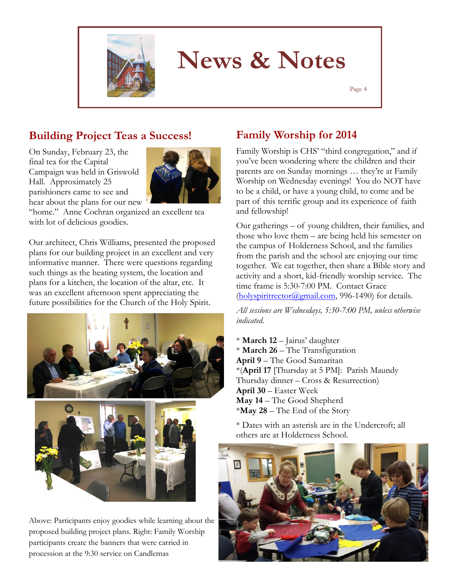

Page 4

### **Building Project Teas a Success!**

On Sunday, February 23, the final tea for the Capital Campaign was held in Griswold Hall. Approximately 25 parishioners came to see and hear about the plans for our new



"home." Anne Cochran organized an excellent tea with lot of delicious goodies.

Our architect, Chris Williams, presented the proposed plans for our building project in an excellent and very informative manner. There were questions regarding such things as the heating system, the location and plans for a kitchen, the location of the altar, etc. It was an excellent afternoon spent appreciating the future possibilities for the Church of the Holy Spirit.



Above: Participants enjoy goodies while learning about the proposed building project plans. Right: Family Worship participants create the banners that were carried in procession at the 9:30 service on Candlemas

### **Family Worship for 2014**

Family Worship is CHS' "third congregation," and if you've been wondering where the children and their parents are on Sunday mornings … they're at Family Worship on Wednesday evenings! You do NOT have to be a child, or have a young child, to come and be part of this terrific group and its experience of faith and fellowship!

Our gatherings – of young children, their families, and those who love them – are being held his semester on the campus of Holderness School, and the families from the parish and the school are enjoying our time together. We eat together, then share a Bible story and activity and a short, kid-friendly worship service. The time frame is 5:30-7:00 PM. Contact Grace (holyspiritrector@gmail.com, 996-1490) for details.

*All sessions are Wednesdays, 5:30-7:00 PM, unless otherwise indicated.*

\* **March 12** – Jairus' daughter \* **March 26** – The Transfiguration **April 9** – The Good Samaritan \*(**April 17** [Thursday at 5 PM]: Parish Maundy Thursday dinner – Cross & Resurrection) **April 30** – Easter Week **May 14** – The Good Shepherd \***May 28** – The End of the Story

\* Dates with an asterisk are in the Undercroft; all others are at Holderness School.

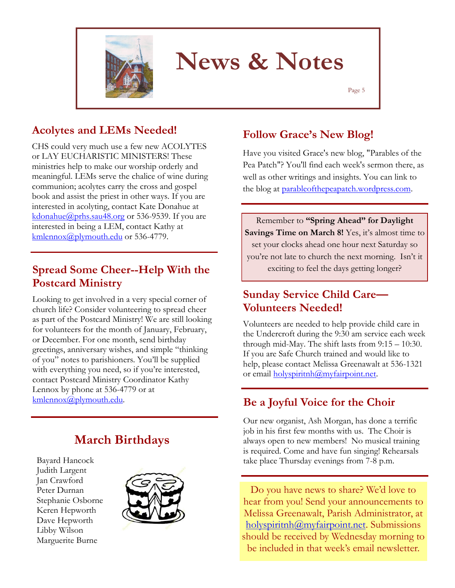

Page 5

### **Acolytes and LEMs Needed!**

CHS could very much use a few new ACOLYTES or LAY EUCHARISTIC MINISTERS! These ministries help to make our worship orderly and meaningful. LEMs serve the chalice of wine during communion; acolytes carry the cross and gospel book and assist the priest in other ways. If you are interested in acolyting, contact Kate Donahue at [kdonahue@prhs.sau48.org](mailto:kdonahue@prhs.sau48.org) or 536-9539. If you are interested in being a LEM, contact Kathy at [kmlennox@plymouth.edu](mailto:kmlennox@plymouth.edu) or 536-4779.

### **Spread Some Cheer--Help With the Postcard Ministry**

Looking to get involved in a very special corner of church life? Consider volunteering to spread cheer as part of the Postcard Ministry! We are still looking for volunteers for the month of January, February, or December. For one month, send birthday greetings, anniversary wishes, and simple "thinking of you" notes to parishioners. You'll be supplied with everything you need, so if you're interested, contact Postcard Ministry Coordinator Kathy Lennox by phone at 536-4779 or at

### **March Birthdays**

Bayard Hancock Judith Largent Jan Crawford Peter Durnan Stephanie Osborne Keren Hepworth Dave Hepworth Libby Wilson Marguerite Burne



### **Follow Grace's New Blog!**

Have you visited Grace's new blog, ["Parables of the](http://parableofthepeapatch.wordpress.com/)  [Pea Patch"?](http://parableofthepeapatch.wordpress.com/) You'll find each week's sermon there, as well as other writings and insights. You can link to the blog at parableofthepeapatch.wordpress.com.

Remember to **"Spring Ahead" for Daylight**  Savings Time on March 8! Yes, it's almost time to set your clocks ahead one hour next Saturday so you're not late to church the next morning. Isn't it exciting to feel the days getting longer?

### **Sunday Service Child Care— Volunteers Needed!**

Volunteers are needed to help provide child care in the Undercroft during the 9:30 am service each week through mid-May. The shift lasts from 9:15 – 10:30. If you are Safe Church trained and would like to help, please contact Melissa Greenawalt at 536-1321 or email holyspiritnh@myfairpoint.net.

### [kmlennox@plymouth.edu.](mailto:kmlennox@plymouth.edu) **Be a Joyful Voice for the Choir**

Our new organist, Ash Morgan, has done a terrific job in his first few months with us. The Choir is always open to new members! No musical training is required. Come and have fun singing! Rehearsals take place Thursday evenings from 7-8 p.m.

Do you have news to share? We'd love to hear from you! Send your announcements to Melissa Greenawalt, Parish Administrator, at holyspiritnh@myfairpoint.net. Submissions should be received by Wednesday morning to be included in that week's email newsletter.